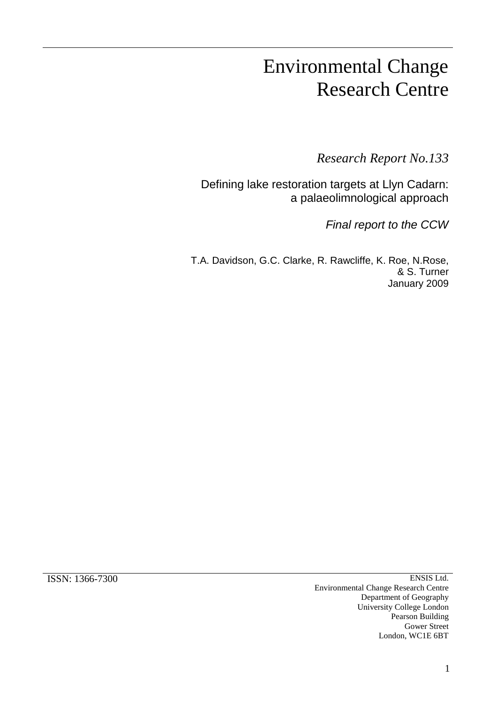# Environmental Change Research Centre

*Research Report No.133*

Defining lake restoration targets at Llyn Cadarn: a palaeolimnological approach

*Final report to the CCW*

T.A. Davidson, G.C. Clarke, R. Rawcliffe, K. Roe, N.Rose, & S. Turner January 2009

ISSN: 1366-7300 ENSIS Ltd. Environmental Change Research Centre Department of Geography University College London Pearson Building Gower Street London, WC1E 6BT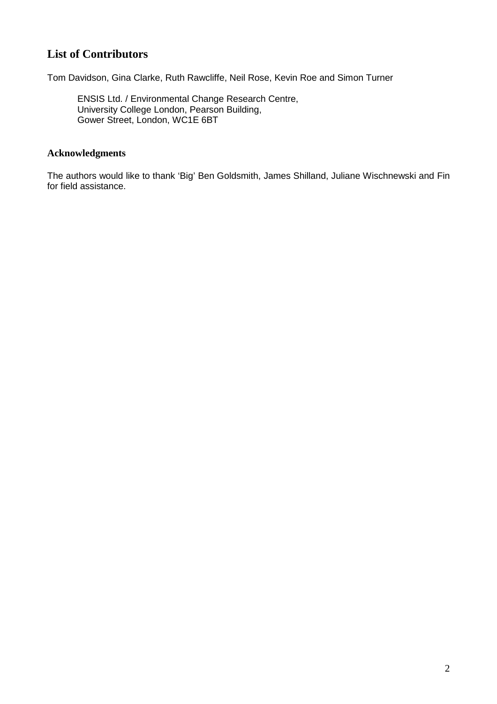## **List of Contributors**

Tom Davidson, Gina Clarke, Ruth Rawcliffe, Neil Rose, Kevin Roe and Simon Turner

ENSIS Ltd. / Environmental Change Research Centre, University College London, Pearson Building, Gower Street, London, WC1E 6BT

### **Acknowledgments**

The authors would like to thank 'Big' Ben Goldsmith, James Shilland, Juliane Wischnewski and Fin for field assistance.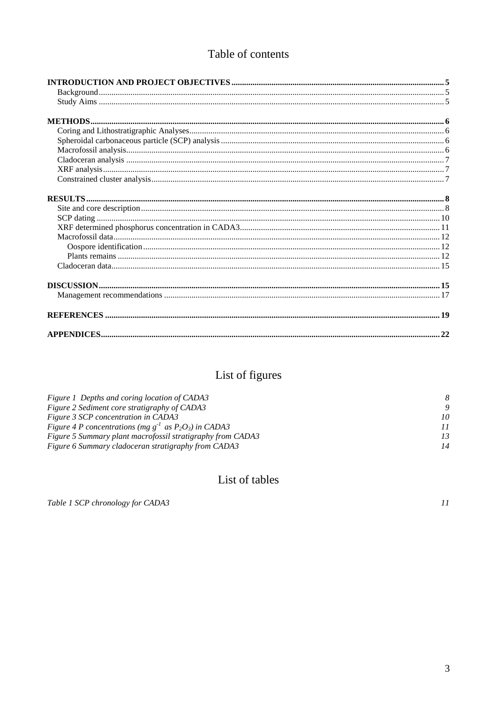## Table of contents

# List of figures

| Figure 1 Depths and coring location of CADA3                  |    |
|---------------------------------------------------------------|----|
| Figure 2 Sediment core stratigraphy of CADA3                  |    |
| Figure 3 SCP concentration in CADA3                           | 10 |
| Figure 4 P concentrations (mg $g^{-1}$ as $P_2O_3$ ) in CADA3 | 11 |
| Figure 5 Summary plant macrofossil stratigraphy from CADA3    | 13 |
| Figure 6 Summary cladoceran stratigraphy from CADA3           | 14 |

## List of tables

Table 1 SCP chronology for CADA3

 $\bar{H}$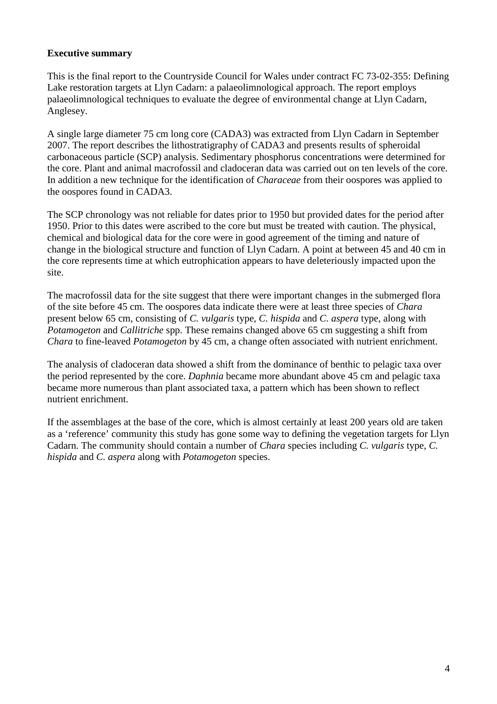#### **Executive summary**

This is the final report to the Countryside Council for Wales under contract FC 73-02-355: Defining Lake restoration targets at Llyn Cadarn: a palaeolimnological approach. The report employs palaeolimnological techniques to evaluate the degree of environmental change at Llyn Cadarn, Anglesey.

A single large diameter 75 cm long core (CADA3) was extracted from Llyn Cadarn in September 2007. The report describes the lithostratigraphy of CADA3 and presents results of spheroidal carbonaceous particle (SCP) analysis. Sedimentary phosphorus concentrations were determined for the core. Plant and animal macrofossil and cladoceran data was carried out on ten levels of the core. In addition a new technique for the identification of *Characeae* from their oospores was applied to the oospores found in CADA3.

The SCP chronology was not reliable for dates prior to 1950 but provided dates for the period after 1950. Prior to this dates were ascribed to the core but must be treated with caution. The physical, chemical and biological data for the core were in good agreement of the timing and nature of change in the biological structure and function of Llyn Cadarn. A point at between 45 and 40 cm in the core represents time at which eutrophication appears to have deleteriously impacted upon the site.

The macrofossil data for the site suggest that there were important changes in the submerged flora of the site before 45 cm. The oospores data indicate there were at least three species of *Chara* present below 65 cm, consisting of *C. vulgaris* type, *C. hispida* and *C. aspera* type, along with *Potamogeton* and *Callitriche* spp. These remains changed above 65 cm suggesting a shift from *Chara* to fine-leaved *Potamogeton* by 45 cm, a change often associated with nutrient enrichment.

The analysis of cladoceran data showed a shift from the dominance of benthic to pelagic taxa over the period represented by the core. *Daphnia* became more abundant above 45 cm and pelagic taxa became more numerous than plant associated taxa, a pattern which has been shown to reflect nutrient enrichment.

If the assemblages at the base of the core, which is almost certainly at least 200 years old are taken as a 'reference' community this study has gone some way to defining the vegetation targets for Llyn Cadarn. The community should contain a number of *Chara* species including *C. vulgaris* type, *C. hispida* and *C. aspera* along with *Potamogeton* species.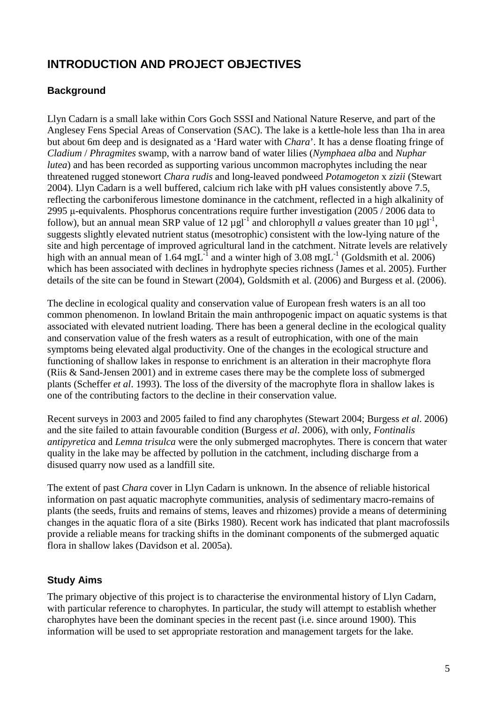## <span id="page-4-0"></span>**INTRODUCTION AND PROJECT OBJECTIVES**

## <span id="page-4-1"></span>**Background**

Llyn Cadarn is a small lake within Cors Goch SSSI and National Nature Reserve, and part of the Anglesey Fens Special Areas of Conservation (SAC). The lake is a kettle-hole less than 1ha in area but about 6m deep and is designated as a 'Hard water with *Chara*'. It has a dense floating fringe of *Cladium* / *Phragmites* swamp, with a narrow band of water lilies (*Nymphaea alba* and *Nuphar lutea*) and has been recorded as supporting various uncommon macrophytes including the near threatened rugged stonewort *Chara rudis* and long-leaved pondweed *Potamogeton* x *zizii* (Stewart 2004). Llyn Cadarn is a well buffered, calcium rich lake with pH values consistently above 7.5, reflecting the carboniferous limestone dominance in the catchment, reflected in a high alkalinity of 2995 μ-equivalents. Phosphorus concentrations require further investigation (2005 / 2006 data to follow), but an annual mean SRP value of 12  $\mu$ gl<sup>-1</sup> and chlorophyll *a* values greater than 10  $\mu$ gl<sup>-1</sup>, suggests slightly elevated nutrient status (mesotrophic) consistent with the low-lying nature of the site and high percentage of improved agricultural land in the catchment. Nitrate levels are relatively high with an annual mean of 1.64 mgL<sup>-1</sup> and a winter high of 3.08 mgL<sup>-1</sup> (Goldsmith et al. 2006) which has been associated with declines in hydrophyte species richness (James et al. 2005). Further details of the site can be found in Stewart (2004), Goldsmith et al. (2006) and Burgess et al. (2006).

The decline in ecological quality and conservation value of European fresh waters is an all too common phenomenon. In lowland Britain the main anthropogenic impact on aquatic systems is that associated with elevated nutrient loading. There has been a general decline in the ecological quality and conservation value of the fresh waters as a result of eutrophication, with one of the main symptoms being elevated algal productivity. One of the changes in the ecological structure and functioning of shallow lakes in response to enrichment is an alteration in their macrophyte flora (Riis & Sand-Jensen 2001) and in extreme cases there may be the complete loss of submerged plants (Scheffer *et al*. 1993). The loss of the diversity of the macrophyte flora in shallow lakes is one of the contributing factors to the decline in their conservation value.

Recent surveys in 2003 and 2005 failed to find any charophytes (Stewart 2004; Burgess *et al*. 2006) and the site failed to attain favourable condition (Burgess *et al*. 2006), with only, *Fontinalis antipyretica* and *Lemna trisulca* were the only submerged macrophytes. There is concern that water quality in the lake may be affected by pollution in the catchment, including discharge from a disused quarry now used as a landfill site.

The extent of past *Chara* cover in Llyn Cadarn is unknown. In the absence of reliable historical information on past aquatic macrophyte communities, analysis of sedimentary macro-remains of plants (the seeds, fruits and remains of stems, leaves and rhizomes) provide a means of determining changes in the aquatic flora of a site (Birks 1980). Recent work has indicated that plant macrofossils provide a reliable means for tracking shifts in the dominant components of the submerged aquatic flora in shallow lakes (Davidson et al. 2005a).

## <span id="page-4-2"></span>**Study Aims**

The primary objective of this project is to characterise the environmental history of Llyn Cadarn, with particular reference to charophytes. In particular, the study will attempt to establish whether charophytes have been the dominant species in the recent past (i.e. since around 1900). This information will be used to set appropriate restoration and management targets for the lake.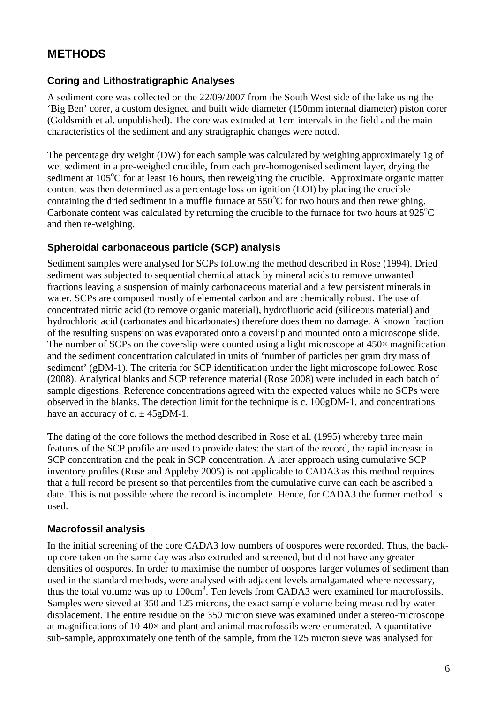## <span id="page-5-0"></span>**METHODS**

### <span id="page-5-1"></span>**Coring and Lithostratigraphic Analyses**

A sediment core was collected on the 22/09/2007 from the South West side of the lake using the 'Big Ben' corer, a custom designed and built wide diameter (150mm internal diameter) piston corer (Goldsmith et al. unpublished). The core was extruded at 1cm intervals in the field and the main characteristics of the sediment and any stratigraphic changes were noted.

The percentage dry weight (DW) for each sample was calculated by weighing approximately 1g of wet sediment in a pre-weighed crucible, from each pre-homogenised sediment layer, drying the sediment at  $105^{\circ}$ C for at least 16 hours, then reweighing the crucible. Approximate organic matter content was then determined as a percentage loss on ignition (LOI) by placing the crucible containing the dried sediment in a muffle furnace at  $550^{\circ}$ C for two hours and then reweighing. Carbonate content was calculated by returning the crucible to the furnace for two hours at  $925^{\circ}$ C and then re-weighing.

### <span id="page-5-2"></span>**Spheroidal carbonaceous particle (SCP) analysis**

Sediment samples were analysed for SCPs following the method described in Rose (1994). Dried sediment was subjected to sequential chemical attack by mineral acids to remove unwanted fractions leaving a suspension of mainly carbonaceous material and a few persistent minerals in water. SCPs are composed mostly of elemental carbon and are chemically robust. The use of concentrated nitric acid (to remove organic material), hydrofluoric acid (siliceous material) and hydrochloric acid (carbonates and bicarbonates) therefore does them no damage. A known fraction of the resulting suspension was evaporated onto a coverslip and mounted onto a microscope slide. The number of SCPs on the coverslip were counted using a light microscope at  $450\times$  magnification and the sediment concentration calculated in units of 'number of particles per gram dry mass of sediment' (gDM-1). The criteria for SCP identification under the light microscope followed Rose (2008). Analytical blanks and SCP reference material (Rose 2008) were included in each batch of sample digestions. Reference concentrations agreed with the expected values while no SCPs were observed in the blanks. The detection limit for the technique is c. 100gDM-1, and concentrations have an accuracy of c.  $\pm$  45gDM-1.

The dating of the core follows the method described in Rose et al. (1995) whereby three main features of the SCP profile are used to provide dates: the start of the record, the rapid increase in SCP concentration and the peak in SCP concentration. A later approach using cumulative SCP inventory profiles (Rose and Appleby 2005) is not applicable to CADA3 as this method requires that a full record be present so that percentiles from the cumulative curve can each be ascribed a date. This is not possible where the record is incomplete. Hence, for CADA3 the former method is used.

## <span id="page-5-3"></span>**Macrofossil analysis**

In the initial screening of the core CADA3 low numbers of oospores were recorded. Thus, the backup core taken on the same day was also extruded and screened, but did not have any greater densities of oospores. In order to maximise the number of oospores larger volumes of sediment than used in the standard methods, were analysed with adjacent levels amalgamated where necessary, thus the total volume was up to 100cm<sup>3</sup>. Ten levels from CADA3 were examined for macrofossils. Samples were sieved at 350 and 125 microns, the exact sample volume being measured by water displacement. The entire residue on the 350 micron sieve was examined under a stereo-microscope at magnifications of  $10-40\times$  and plant and animal macrofossils were enumerated. A quantitative sub-sample, approximately one tenth of the sample, from the 125 micron sieve was analysed for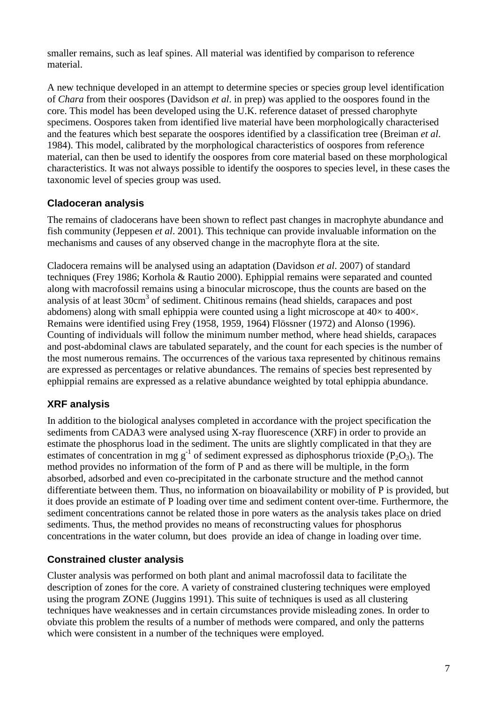smaller remains, such as leaf spines. All material was identified by comparison to reference material.

A new technique developed in an attempt to determine species or species group level identification of *Chara* from their oospores (Davidson *et al*. in prep) was applied to the oospores found in the core. This model has been developed using the U.K. reference dataset of pressed charophyte specimens. Oospores taken from identified live material have been morphologically characterised and the features which best separate the oospores identified by a classification tree (Breiman *et al*. 1984). This model, calibrated by the morphological characteristics of oospores from reference material, can then be used to identify the oospores from core material based on these morphological characteristics. It was not always possible to identify the oospores to species level, in these cases the taxonomic level of species group was used.

## <span id="page-6-0"></span>**Cladoceran analysis**

The remains of cladocerans have been shown to reflect past changes in macrophyte abundance and fish community (Jeppesen *et al*. 2001). This technique can provide invaluable information on the mechanisms and causes of any observed change in the macrophyte flora at the site.

Cladocera remains will be analysed using an adaptation (Davidson *et al*. 2007) of standard techniques (Frey 1986; Korhola & Rautio 2000). Ephippial remains were separated and counted along with macrofossil remains using a binocular microscope, thus the counts are based on the analysis of at least 30cm<sup>3</sup> of sediment. Chitinous remains (head shields, carapaces and post abdomens) along with small ephippia were counted using a light microscope at  $40\times$  to  $400\times$ . Remains were identified using Frey (1958, 1959, 1964) Flössner (1972) and Alonso (1996). Counting of individuals will follow the minimum number method, where head shields, carapaces and post-abdominal claws are tabulated separately, and the count for each species is the number of the most numerous remains. The occurrences of the various taxa represented by chitinous remains are expressed as percentages or relative abundances. The remains of species best represented by ephippial remains are expressed as a relative abundance weighted by total ephippia abundance.

## <span id="page-6-1"></span>**XRF analysis**

In addition to the biological analyses completed in accordance with the project specification the sediments from CADA3 were analysed using X-ray fluorescence (XRF) in order to provide an estimate the phosphorus load in the sediment. The units are slightly complicated in that they are estimates of concentration in mg  $g^{-1}$  of sediment expressed as diphosphorus trioxide (P<sub>2</sub>O<sub>3</sub>). The method provides no information of the form of P and as there will be multiple, in the form absorbed, adsorbed and even co-precipitated in the carbonate structure and the method cannot differentiate between them. Thus, no information on bioavailability or mobility of P is provided, but it does provide an estimate of P loading over time and sediment content over-time. Furthermore, the sediment concentrations cannot be related those in pore waters as the analysis takes place on dried sediments. Thus, the method provides no means of reconstructing values for phosphorus concentrations in the water column, but does provide an idea of change in loading over time.

## <span id="page-6-2"></span>**Constrained cluster analysis**

Cluster analysis was performed on both plant and animal macrofossil data to facilitate the description of zones for the core. A variety of constrained clustering techniques were employed using the program ZONE (Juggins 1991). This suite of techniques is used as all clustering techniques have weaknesses and in certain circumstances provide misleading zones. In order to obviate this problem the results of a number of methods were compared, and only the patterns which were consistent in a number of the techniques were employed.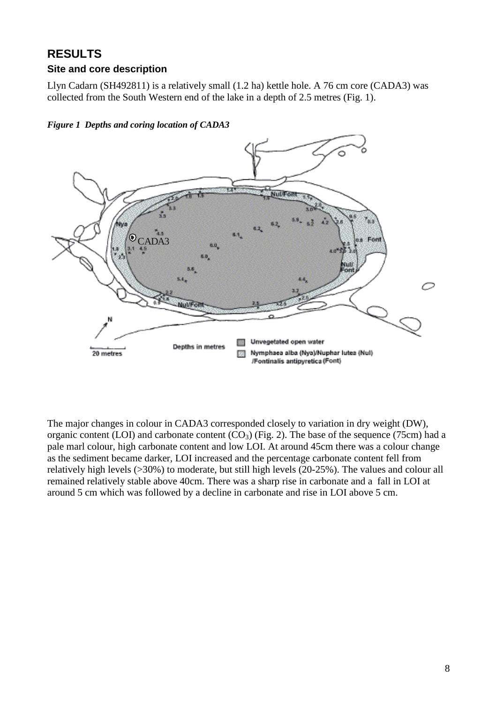# <span id="page-7-0"></span>**RESULTS**

### <span id="page-7-1"></span>**Site and core description**

Llyn Cadarn (SH492811) is a relatively small (1.2 ha) kettle hole. A 76 cm core (CADA3) was collected from the South Western end of the lake in a depth of 2.5 metres (Fig. 1).



<span id="page-7-2"></span>*Figure 1 Depths and coring location of CADA3*

The major changes in colour in CADA3 corresponded closely to variation in dry weight (DW), organic content (LOI) and carbonate content  $(CO_3)$  (Fig. 2). The base of the sequence (75cm) had a pale marl colour, high carbonate content and low LOI. At around 45cm there was a colour change as the sediment became darker, LOI increased and the percentage carbonate content fell from relatively high levels (>30%) to moderate, but still high levels (20-25%). The values and colour all remained relatively stable above 40cm. There was a sharp rise in carbonate and a fall in LOI at around 5 cm which was followed by a decline in carbonate and rise in LOI above 5 cm.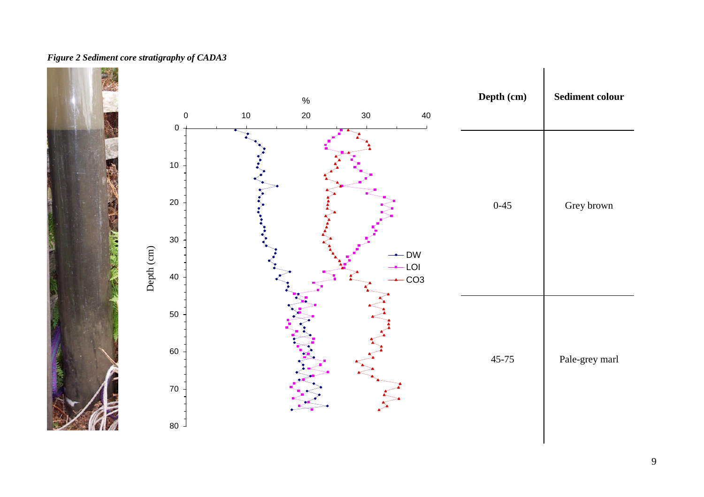#### *Figure 2 Sediment core stratigraphy of CADA3*

<span id="page-8-0"></span>

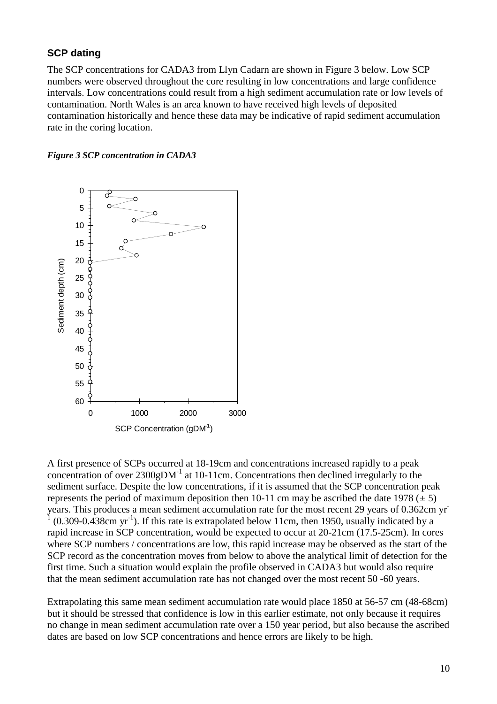#### <span id="page-9-0"></span>**SCP dating**

The SCP concentrations for CADA3 from Llyn Cadarn are shown in Figure 3 below. Low SCP numbers were observed throughout the core resulting in low concentrations and large confidence intervals. Low concentrations could result from a high sediment accumulation rate or low levels of contamination. North Wales is an area known to have received high levels of deposited contamination historically and hence these data may be indicative of rapid sediment accumulation rate in the coring location.

<span id="page-9-1"></span>*Figure 3 SCP concentration in CADA3*



A first presence of SCPs occurred at 18-19cm and concentrations increased rapidly to a peak concentration of over  $2300gDM^{-1}$  at 10-11cm. Concentrations then declined irregularly to the sediment surface. Despite the low concentrations, if it is assumed that the SCP concentration peak represents the period of maximum deposition then 10-11 cm may be ascribed the date 1978 ( $\pm$  5) years. This produces a mean sediment accumulation rate for the most recent 29 years of 0.362cm yr-1  $(0.309 - 0.438 \text{cm yr}^{-1})$ . If this rate is extrapolated below 11cm, then 1950, usually indicated by a rapid increase in SCP concentration, would be expected to occur at 20-21cm (17.5-25cm). In cores where SCP numbers / concentrations are low, this rapid increase may be observed as the start of the SCP record as the concentration moves from below to above the analytical limit of detection for the first time. Such a situation would explain the profile observed in CADA3 but would also require that the mean sediment accumulation rate has not changed over the most recent 50 -60 years.

Extrapolating this same mean sediment accumulation rate would place 1850 at 56-57 cm (48-68cm) but it should be stressed that confidence is low in this earlier estimate, not only because it requires no change in mean sediment accumulation rate over a 150 year period, but also because the ascribed dates are based on low SCP concentrations and hence errors are likely to be high.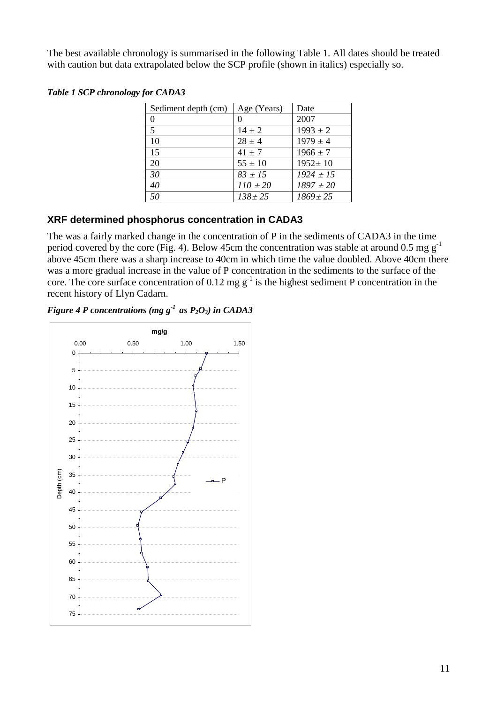The best available chronology is summarised in the following Table 1. All dates should be treated with caution but data extrapolated below the SCP profile (shown in italics) especially so.

<span id="page-10-2"></span>

|  |  | <b>Table 1 SCP chronology for CADA3</b> |  |
|--|--|-----------------------------------------|--|
|--|--|-----------------------------------------|--|

| Sediment depth (cm) | Age (Years)  | Date          |
|---------------------|--------------|---------------|
| 0                   |              | 2007          |
| 5                   | $14 \pm 2$   | $1993 \pm 2$  |
| 10                  | $28 \pm 4$   | $1979 \pm 4$  |
| 15                  | $41 \pm 7$   | $1966 \pm 7$  |
| 20                  | $55 \pm 10$  | $1952 \pm 10$ |
| 30                  | $83 \pm 15$  | $1924 \pm 15$ |
| 40                  | $110 \pm 20$ | $1897 \pm 20$ |
| 50                  | $138 \pm 25$ | $1869 \pm 25$ |

#### <span id="page-10-0"></span>**XRF determined phosphorus concentration in CADA3**

The was a fairly marked change in the concentration of P in the sediments of CADA3 in the time period covered by the core (Fig. 4). Below 45cm the concentration was stable at around 0.5 mg  $g^{-1}$ above 45cm there was a sharp increase to 40cm in which time the value doubled. Above 40cm there was a more gradual increase in the value of P concentration in the sediments to the surface of the core. The core surface concentration of 0.12 mg  $g^{-1}$  is the highest sediment P concentration in the recent history of Llyn Cadarn.

<span id="page-10-1"></span>*Figure 4 P concentrations (mg g-1 as P2O3) in CADA3*

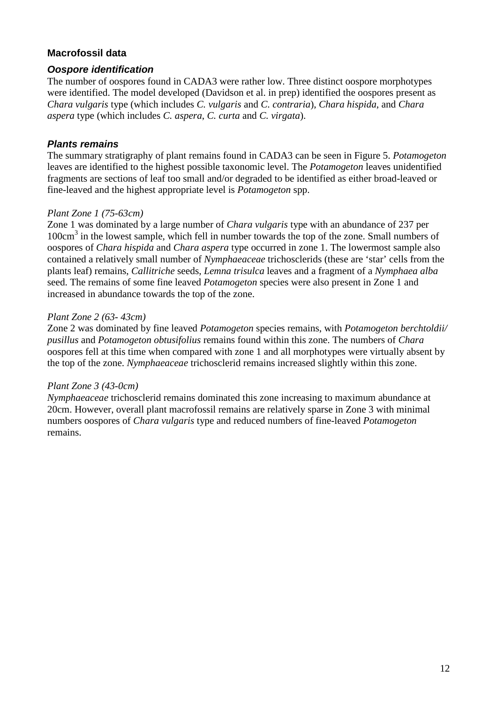### <span id="page-11-0"></span>**Macrofossil data**

#### <span id="page-11-1"></span>*Oospore identification*

The number of oospores found in CADA3 were rather low. Three distinct oospore morphotypes were identified. The model developed (Davidson et al. in prep) identified the oospores present as *Chara vulgaris* type (which includes *C. vulgaris* and *C. contraria*), *Chara hispida*, and *Chara aspera* type (which includes *C. aspera*, *C. curta* and *C. virgata*).

#### <span id="page-11-2"></span>*Plants remains*

The summary stratigraphy of plant remains found in CADA3 can be seen in Figure 5. *Potamogeton* leaves are identified to the highest possible taxonomic level. The *Potamogeton* leaves unidentified fragments are sections of leaf too small and/or degraded to be identified as either broad-leaved or fine-leaved and the highest appropriate level is *Potamogeton* spp.

#### *Plant Zone 1 (75-63cm)*

Zone 1 was dominated by a large number of *Chara vulgaris* type with an abundance of 237 per 100cm<sup>3</sup> in the lowest sample, which fell in number towards the top of the zone. Small numbers of oospores of *Chara hispida* and *Chara aspera* type occurred in zone 1. The lowermost sample also contained a relatively small number of *Nymphaeaceae* trichosclerids (these are 'star' cells from the plants leaf) remains, *Callitriche* seeds, *Lemna trisulca* leaves and a fragment of a *Nymphaea alba* seed. The remains of some fine leaved *Potamogeton* species were also present in Zone 1 and increased in abundance towards the top of the zone.

#### *Plant Zone 2 (63- 43cm)*

Zone 2 was dominated by fine leaved *Potamogeton* species remains, with *Potamogeton berchtoldii/ pusillus* and *Potamogeton obtusifolius* remains found within this zone. The numbers of *Chara* oospores fell at this time when compared with zone 1 and all morphotypes were virtually absent by the top of the zone. *Nymphaeaceae* trichosclerid remains increased slightly within this zone.

#### *Plant Zone 3 (43-0cm)*

*Nymphaeaceae* trichosclerid remains dominated this zone increasing to maximum abundance at 20cm. However, overall plant macrofossil remains are relatively sparse in Zone 3 with minimal numbers oospores of *Chara vulgaris* type and reduced numbers of fine-leaved *Potamogeton* remains.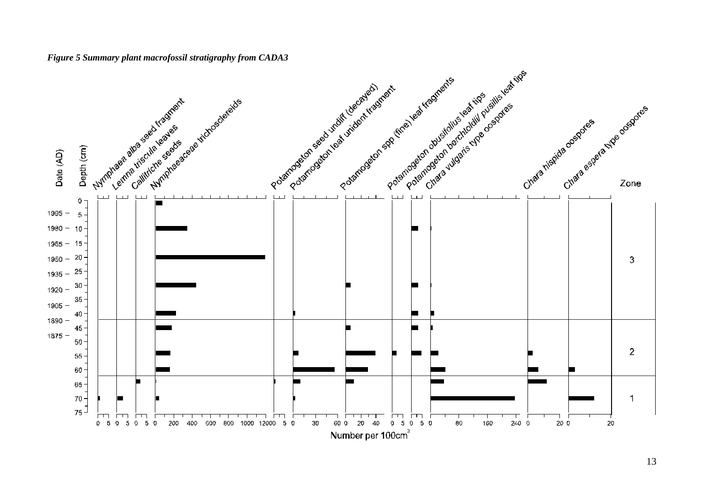<span id="page-12-0"></span>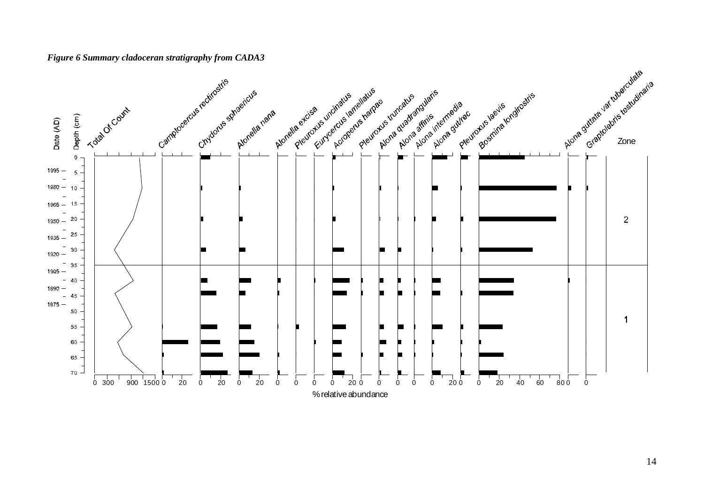#### *Figure 6 Summary cladoceran stratigraphy from CADA3*

<span id="page-13-0"></span>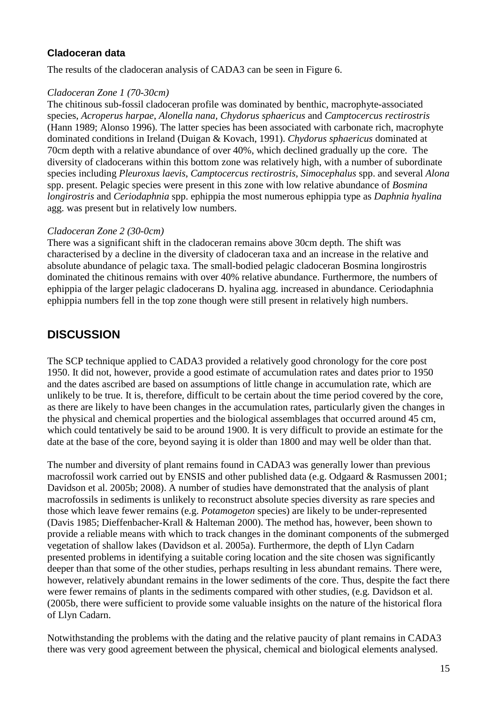### <span id="page-14-0"></span>**Cladoceran data**

The results of the cladoceran analysis of CADA3 can be seen in Figure 6.

#### *Cladoceran Zone 1 (70-30cm)*

The chitinous sub-fossil cladoceran profile was dominated by benthic, macrophyte-associated species, *Acroperus harpae*, *Alonella nana, Chydorus sphaericus* and *Camptocercus rectirostris* (Hann 1989; Alonso 1996). The latter species has been associated with carbonate rich, macrophyte dominated conditions in Ireland (Duigan & Kovach, 1991). *Chydorus sphaericus* dominated at 70cm depth with a relative abundance of over 40%, which declined gradually up the core. The diversity of cladocerans within this bottom zone was relatively high, with a number of subordinate species including *Pleuroxus laevis*, *Camptocercus rectirostris, Simocephalus* spp. and several *Alona* spp. present. Pelagic species were present in this zone with low relative abundance of *Bosmina longirostris* and *Ceriodaphnia* spp. ephippia the most numerous ephippia type as *Daphnia hyalina* agg. was present but in relatively low numbers.

### *Cladoceran Zone 2 (30-0cm)*

There was a significant shift in the cladoceran remains above 30cm depth. The shift was characterised by a decline in the diversity of cladoceran taxa and an increase in the relative and absolute abundance of pelagic taxa. The small-bodied pelagic cladoceran Bosmina longirostris dominated the chitinous remains with over 40% relative abundance. Furthermore, the numbers of ephippia of the larger pelagic cladocerans D. hyalina agg. increased in abundance. Ceriodaphnia ephippia numbers fell in the top zone though were still present in relatively high numbers.

## <span id="page-14-1"></span>**DISCUSSION**

The SCP technique applied to CADA3 provided a relatively good chronology for the core post 1950. It did not, however, provide a good estimate of accumulation rates and dates prior to 1950 and the dates ascribed are based on assumptions of little change in accumulation rate, which are unlikely to be true. It is, therefore, difficult to be certain about the time period covered by the core, as there are likely to have been changes in the accumulation rates, particularly given the changes in the physical and chemical properties and the biological assemblages that occurred around 45 cm, which could tentatively be said to be around 1900. It is very difficult to provide an estimate for the date at the base of the core, beyond saying it is older than 1800 and may well be older than that.

The number and diversity of plant remains found in CADA3 was generally lower than previous macrofossil work carried out by ENSIS and other published data (e.g. Odgaard & Rasmussen 2001; Davidson et al. 2005b; 2008). A number of studies have demonstrated that the analysis of plant macrofossils in sediments is unlikely to reconstruct absolute species diversity as rare species and those which leave fewer remains (e.g. *Potamogeton* species) are likely to be under-represented (Davis 1985; Dieffenbacher-Krall & Halteman 2000). The method has, however, been shown to provide a reliable means with which to track changes in the dominant components of the submerged vegetation of shallow lakes (Davidson et al. 2005a). Furthermore, the depth of Llyn Cadarn presented problems in identifying a suitable coring location and the site chosen was significantly deeper than that some of the other studies, perhaps resulting in less abundant remains. There were, however, relatively abundant remains in the lower sediments of the core. Thus, despite the fact there were fewer remains of plants in the sediments compared with other studies, (e.g. Davidson et al. (2005b, there were sufficient to provide some valuable insights on the nature of the historical flora of Llyn Cadarn.

Notwithstanding the problems with the dating and the relative paucity of plant remains in CADA3 there was very good agreement between the physical, chemical and biological elements analysed.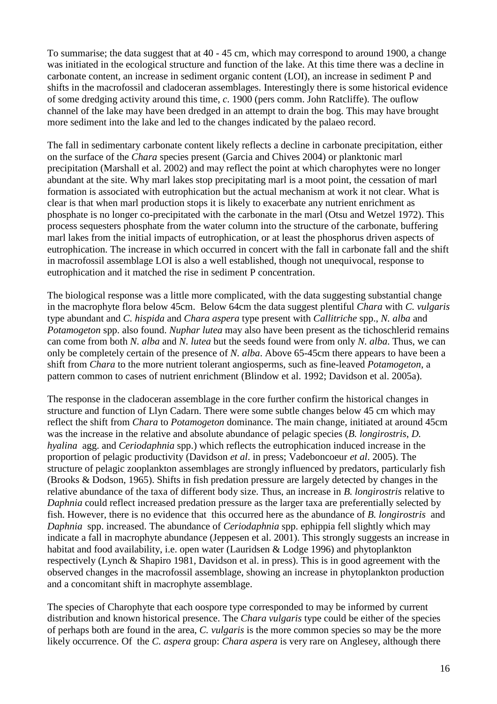To summarise; the data suggest that at 40 - 45 cm, which may correspond to around 1900, a change was initiated in the ecological structure and function of the lake. At this time there was a decline in carbonate content, an increase in sediment organic content (LOI), an increase in sediment P and shifts in the macrofossil and cladoceran assemblages. Interestingly there is some historical evidence of some dredging activity around this time, *c*. 1900 (pers comm. John Ratcliffe). The ouflow channel of the lake may have been dredged in an attempt to drain the bog. This may have brought more sediment into the lake and led to the changes indicated by the palaeo record.

The fall in sedimentary carbonate content likely reflects a decline in carbonate precipitation, either on the surface of the *Chara* species present (Garcia and Chives 2004) or planktonic marl precipitation (Marshall et al. 2002) and may reflect the point at which charophytes were no longer abundant at the site. Why marl lakes stop precipitating marl is a moot point, the cessation of marl formation is associated with eutrophication but the actual mechanism at work it not clear. What is clear is that when marl production stops it is likely to exacerbate any nutrient enrichment as phosphate is no longer co-precipitated with the carbonate in the marl (Otsu and Wetzel 1972). This process sequesters phosphate from the water column into the structure of the carbonate, buffering marl lakes from the initial impacts of eutrophication, or at least the phosphorus driven aspects of eutrophication. The increase in which occurred in concert with the fall in carbonate fall and the shift in macrofossil assemblage LOI is also a well established, though not unequivocal, response to eutrophication and it matched the rise in sediment P concentration.

The biological response was a little more complicated, with the data suggesting substantial change in the macrophyte flora below 45cm. Below 64cm the data suggest plentiful *Chara* with *C. vulgaris* type abundant and *C. hispida* and *Chara aspera* type present with *Callitriche* spp., *N. alba* and *Potamogeton* spp. also found. *Nuphar lutea* may also have been present as the tichoschlerid remains can come from both *N. alba* and *N. lutea* but the seeds found were from only *N. alba*. Thus, we can only be completely certain of the presence of *N. alba*. Above 65-45cm there appears to have been a shift from *Chara* to the more nutrient tolerant angiosperms, such as fine-leaved *Potamogeton*, a pattern common to cases of nutrient enrichment (Blindow et al. 1992; Davidson et al. 2005a).

The response in the cladoceran assemblage in the core further confirm the historical changes in structure and function of Llyn Cadarn. There were some subtle changes below 45 cm which may reflect the shift from *Chara* to *Potamogeton* dominance. The main change, initiated at around 45cm was the increase in the relative and absolute abundance of pelagic species (*B. longirostris*, *D. hyalina* agg. and *Ceriodaphnia* spp.) which reflects the eutrophication induced increase in the proportion of pelagic productivity (Davidson *et al*. in press; Vadeboncoeur *et al*. 2005). The structure of pelagic zooplankton assemblages are strongly influenced by predators, particularly fish (Brooks & Dodson, 1965). Shifts in fish predation pressure are largely detected by changes in the relative abundance of the taxa of different body size. Thus, an increase in *B. longirostris* relative to *Daphnia* could reflect increased predation pressure as the larger taxa are preferentially selected by fish. However, there is no evidence that this occurred here as the abundance of *B. longirostris* and *Daphnia* spp. increased. The abundance of *Ceriodaphnia* spp. ephippia fell slightly which may indicate a fall in macrophyte abundance (Jeppesen et al. 2001). This strongly suggests an increase in habitat and food availability, i.e. open water (Lauridsen & Lodge 1996) and phytoplankton respectively (Lynch & Shapiro 1981, Davidson et al. in press). This is in good agreement with the observed changes in the macrofossil assemblage, showing an increase in phytoplankton production and a concomitant shift in macrophyte assemblage.

The species of Charophyte that each oospore type corresponded to may be informed by current distribution and known historical presence. The *Chara vulgaris* type could be either of the species of perhaps both are found in the area, *C. vulgaris* is the more common species so may be the more likely occurrence. Of the *C. aspera* group: *Chara aspera* is very rare on Anglesey, although there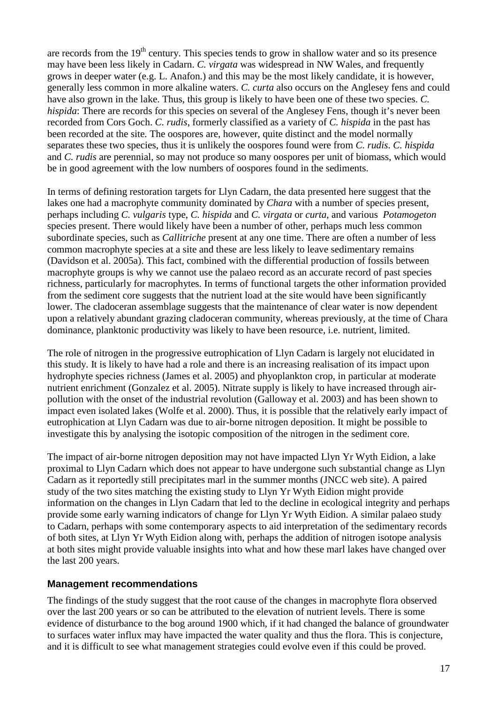are records from the  $19<sup>th</sup>$  century. This species tends to grow in shallow water and so its presence may have been less likely in Cadarn. *C. virgata* was widespread in NW Wales, and frequently grows in deeper water (e.g. L. Anafon.) and this may be the most likely candidate, it is however, generally less common in more alkaline waters. *C. curta* also occurs on the Anglesey fens and could have also grown in the lake. Thus, this group is likely to have been one of these two species. *C. hispida*: There are records for this species on several of the Anglesey Fens, though it's never been recorded from Cors Goch. *C. rudis*, formerly classified as a variety of *C. hispida* in the past has been recorded at the site. The oospores are, however, quite distinct and the model normally separates these two species, thus it is unlikely the oospores found were from *C. rudis*. *C. hispida* and *C. rudis* are perennial, so may not produce so many oospores per unit of biomass, which would be in good agreement with the low numbers of oospores found in the sediments.

In terms of defining restoration targets for Llyn Cadarn, the data presented here suggest that the lakes one had a macrophyte community dominated by *Chara* with a number of species present, perhaps including *C. vulgaris* type, *C. hispida* and *C. virgata* or *curta*, and various *Potamogeton* species present. There would likely have been a number of other, perhaps much less common subordinate species, such as *Callitriche* present at any one time. There are often a number of less common macrophyte species at a site and these are less likely to leave sedimentary remains (Davidson et al. 2005a). This fact, combined with the differential production of fossils between macrophyte groups is why we cannot use the palaeo record as an accurate record of past species richness, particularly for macrophytes. In terms of functional targets the other information provided from the sediment core suggests that the nutrient load at the site would have been significantly lower. The cladoceran assemblage suggests that the maintenance of clear water is now dependent upon a relatively abundant grazing cladoceran community, whereas previously, at the time of Chara dominance, planktonic productivity was likely to have been resource, i.e. nutrient, limited.

The role of nitrogen in the progressive eutrophication of Llyn Cadarn is largely not elucidated in this study. It is likely to have had a role and there is an increasing realisation of its impact upon hydrophyte species richness (James et al. 2005) and phyoplankton crop, in particular at moderate nutrient enrichment (Gonzalez et al. 2005). Nitrate supply is likely to have increased through airpollution with the onset of the industrial revolution (Galloway et al. 2003) and has been shown to impact even isolated lakes (Wolfe et al. 2000). Thus, it is possible that the relatively early impact of eutrophication at Llyn Cadarn was due to air-borne nitrogen deposition. It might be possible to investigate this by analysing the isotopic composition of the nitrogen in the sediment core.

The impact of air-borne nitrogen deposition may not have impacted Llyn Yr Wyth Eidion, a lake proximal to Llyn Cadarn which does not appear to have undergone such substantial change as Llyn Cadarn as it reportedly still precipitates marl in the summer months (JNCC web site). A paired study of the two sites matching the existing study to Llyn Yr Wyth Eidion might provide information on the changes in Llyn Cadarn that led to the decline in ecological integrity and perhaps provide some early warning indicators of change for Llyn Yr Wyth Eidion. A similar palaeo study to Cadarn, perhaps with some contemporary aspects to aid interpretation of the sedimentary records of both sites, at Llyn Yr Wyth Eidion along with, perhaps the addition of nitrogen isotope analysis at both sites might provide valuable insights into what and how these marl lakes have changed over the last 200 years.

#### <span id="page-16-0"></span>**Management recommendations**

The findings of the study suggest that the root cause of the changes in macrophyte flora observed over the last 200 years or so can be attributed to the elevation of nutrient levels. There is some evidence of disturbance to the bog around 1900 which, if it had changed the balance of groundwater to surfaces water influx may have impacted the water quality and thus the flora. This is conjecture, and it is difficult to see what management strategies could evolve even if this could be proved.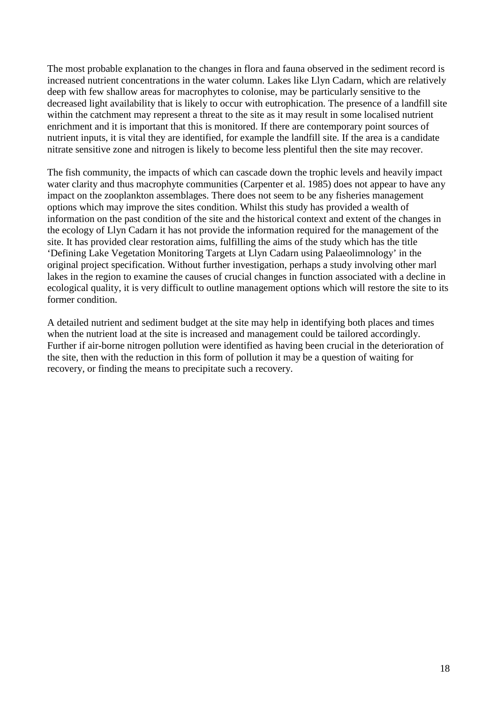The most probable explanation to the changes in flora and fauna observed in the sediment record is increased nutrient concentrations in the water column. Lakes like Llyn Cadarn, which are relatively deep with few shallow areas for macrophytes to colonise, may be particularly sensitive to the decreased light availability that is likely to occur with eutrophication. The presence of a landfill site within the catchment may represent a threat to the site as it may result in some localised nutrient enrichment and it is important that this is monitored. If there are contemporary point sources of nutrient inputs, it is vital they are identified, for example the landfill site. If the area is a candidate nitrate sensitive zone and nitrogen is likely to become less plentiful then the site may recover.

The fish community, the impacts of which can cascade down the trophic levels and heavily impact water clarity and thus macrophyte communities (Carpenter et al. 1985) does not appear to have any impact on the zooplankton assemblages. There does not seem to be any fisheries management options which may improve the sites condition. Whilst this study has provided a wealth of information on the past condition of the site and the historical context and extent of the changes in the ecology of Llyn Cadarn it has not provide the information required for the management of the site. It has provided clear restoration aims, fulfilling the aims of the study which has the title 'Defining Lake Vegetation Monitoring Targets at Llyn Cadarn using Palaeolimnology' in the original project specification. Without further investigation, perhaps a study involving other marl lakes in the region to examine the causes of crucial changes in function associated with a decline in ecological quality, it is very difficult to outline management options which will restore the site to its former condition.

A detailed nutrient and sediment budget at the site may help in identifying both places and times when the nutrient load at the site is increased and management could be tailored accordingly. Further if air-borne nitrogen pollution were identified as having been crucial in the deterioration of the site, then with the reduction in this form of pollution it may be a question of waiting for recovery, or finding the means to precipitate such a recovery.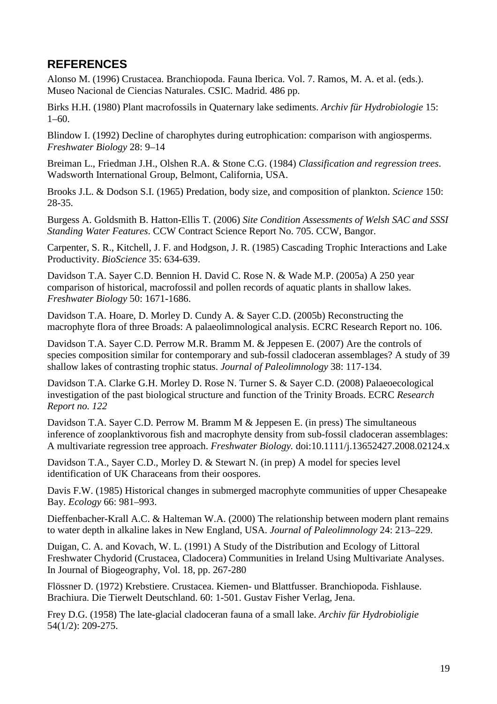## <span id="page-18-0"></span>**REFERENCES**

Alonso M. (1996) Crustacea. Branchiopoda. Fauna Iberica. Vol. 7. Ramos, M. A. et al. (eds.). Museo Nacional de Ciencias Naturales. CSIC. Madrid. 486 pp.

Birks H.H. (1980) Plant macrofossils in Quaternary lake sediments. *Archiv für Hydrobiologie* 15: 1–60.

Blindow I. (1992) Decline of charophytes during eutrophication: comparison with angiosperms. *Freshwater Biology* 28: 9–14

Breiman L., Friedman J.H., Olshen R.A. & Stone C.G. (1984) *Classification and regression trees*. Wadsworth International Group, Belmont, California, USA.

Brooks J.L. & Dodson S.I. (1965) Predation, body size, and composition of plankton. *Science* 150: 28-35.

Burgess A. Goldsmith B. Hatton-Ellis T. (2006) *Site Condition Assessments of Welsh SAC and SSSI Standing Water Features*. CCW Contract Science Report No. 705. CCW, Bangor.

Carpenter, S. R., Kitchell, J. F. and Hodgson, J. R. (1985) Cascading Trophic Interactions and Lake Productivity. *BioScience* 35: 634-639.

Davidson T.A. Sayer C.D. Bennion H. David C. Rose N. & Wade M.P. (2005a) A 250 year comparison of historical, macrofossil and pollen records of aquatic plants in shallow lakes. *Freshwater Biology* 50: 1671-1686.

Davidson T.A. Hoare, D. Morley D. Cundy A. & Sayer C.D. (2005b) Reconstructing the macrophyte flora of three Broads: A palaeolimnological analysis. ECRC Research Report no. 106.

Davidson T.A. Sayer C.D. Perrow M.R. Bramm M. & Jeppesen E. (2007) Are the controls of species composition similar for contemporary and sub-fossil cladoceran assemblages? A study of 39 shallow lakes of contrasting trophic status. *Journal of Paleolimnology* 38: 117-134.

Davidson T.A. Clarke G.H. Morley D. Rose N. Turner S. & Sayer C.D. (2008) Palaeoecological investigation of the past biological structure and function of the Trinity Broads. ECRC *Research Report no. 122*

Davidson T.A. Sayer C.D. Perrow M. Bramm M & Jeppesen E. (in press) The simultaneous inference of zooplanktivorous fish and macrophyte density from sub-fossil cladoceran assemblages: A multivariate regression tree approach. *Freshwater Biology.* doi:10.1111/j.13652427.2008.02124.x

Davidson T.A., Sayer C.D., Morley D. & Stewart N. (in prep) A model for species level identification of UK Characeans from their oospores.

Davis F.W. (1985) Historical changes in submerged macrophyte communities of upper Chesapeake Bay. *Ecology* 66: 981–993.

Dieffenbacher-Krall A.C. & Halteman W.A. (2000) The relationship between modern plant remains to water depth in alkaline lakes in New England, USA. *Journal of Paleolimnology* 24: 213–229.

Duigan, C. A. and Kovach, W. L. (1991) A Study of the Distribution and Ecology of Littoral Freshwater Chydorid (Crustacea, Cladocera) Communities in Ireland Using Multivariate Analyses. In Journal of Biogeography, Vol. 18, pp. 267-280

Flössner D. (1972) Krebstiere. Crustacea. Kiemen- und Blattfusser. Branchiopoda. Fishlause. Brachiura. Die Tierwelt Deutschland. 60: 1-501. Gustav Fisher Verlag, Jena.

Frey D.G. (1958) The late-glacial cladoceran fauna of a small lake. *Archiv für Hydrobioligie* 54(1/2): 209-275.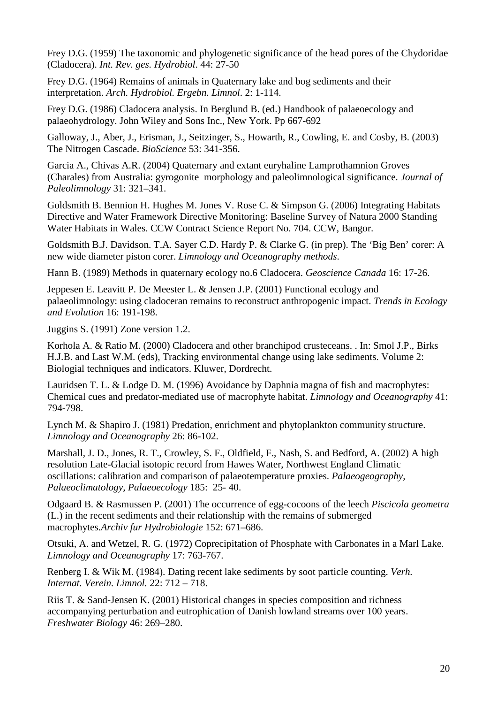Frey D.G. (1959) The taxonomic and phylogenetic significance of the head pores of the Chydoridae (Cladocera). *Int. Rev. ges. Hydrobiol*. 44: 27-50

Frey D.G. (1964) Remains of animals in Quaternary lake and bog sediments and their interpretation. *Arch. Hydrobiol. Ergebn. Limnol*. 2: 1-114.

Frey D.G. (1986) Cladocera analysis. In Berglund B. (ed.) Handbook of palaeoecology and palaeohydrology. John Wiley and Sons Inc., New York. Pp 667-692

Galloway, J., Aber, J., Erisman, J., Seitzinger, S., Howarth, R., Cowling, E. and Cosby, B. (2003) The Nitrogen Cascade. *BioScience* 53: 341-356.

Garcia A., Chivas A.R. (2004) Quaternary and extant euryhaline Lamprothamnion Groves (Charales) from Australia: gyrogonite morphology and paleolimnological significance. *Journal of Paleolimnology* 31: 321–341.

Goldsmith B. Bennion H. Hughes M. Jones V. Rose C. & Simpson G. (2006) Integrating Habitats Directive and Water Framework Directive Monitoring: Baseline Survey of Natura 2000 Standing Water Habitats in Wales. CCW Contract Science Report No. 704. CCW, Bangor.

Goldsmith B.J. Davidson. T.A. Sayer C.D. Hardy P. & Clarke G. (in prep). The 'Big Ben' corer: A new wide diameter piston corer. *Limnology and Oceanography methods*.

Hann B. (1989) Methods in quaternary ecology no.6 Cladocera. *Geoscience Canada* 16: 17-26.

Jeppesen E. Leavitt P. De Meester L. & Jensen J.P. (2001) Functional ecology and palaeolimnology: using cladoceran remains to reconstruct anthropogenic impact. *Trends in Ecology and Evolution* 16: 191-198.

Juggins S. (1991) Zone version 1.2.

Korhola A. & Ratio M. (2000) Cladocera and other branchipod crusteceans. . In: Smol J.P., Birks H.J.B. and Last W.M. (eds), Tracking environmental change using lake sediments. Volume 2: Biologial techniques and indicators. Kluwer, Dordrecht.

Lauridsen T. L. & Lodge D. M. (1996) Avoidance by Daphnia magna of fish and macrophytes: Chemical cues and predator-mediated use of macrophyte habitat. *Limnology and Oceanography* 41: 794-798.

Lynch M. & Shapiro J. (1981) Predation, enrichment and phytoplankton community structure. *Limnology and Oceanography* 26: 86-102.

Marshall, J. D., Jones, R. T., Crowley, S. F., Oldfield, F., Nash, S. and Bedford, A. (2002) A high resolution Late-Glacial isotopic record from Hawes Water, Northwest England Climatic oscillations: calibration and comparison of palaeotemperature proxies. *Palaeogeography, Palaeoclimatology, Palaeoecology* 185: 25- 40.

Odgaard B. & Rasmussen P. (2001) The occurrence of egg-cocoons of the leech *Piscicola geometra* (L.) in the recent sediments and their relationship with the remains of submerged macrophytes.*Archiv fur Hydrobiologie* 152: 671–686.

Otsuki, A. and Wetzel, R. G. (1972) Coprecipitation of Phosphate with Carbonates in a Marl Lake. *Limnology and Oceanography* 17: 763-767.

Renberg I. & Wik M. (1984). Dating recent lake sediments by soot particle counting. *Verh. Internat. Verein. Limnol.* 22: 712 – 718.

Riis T. & Sand-Jensen K. (2001) Historical changes in species composition and richness accompanying perturbation and eutrophication of Danish lowland streams over 100 years. *Freshwater Biology* 46: 269–280.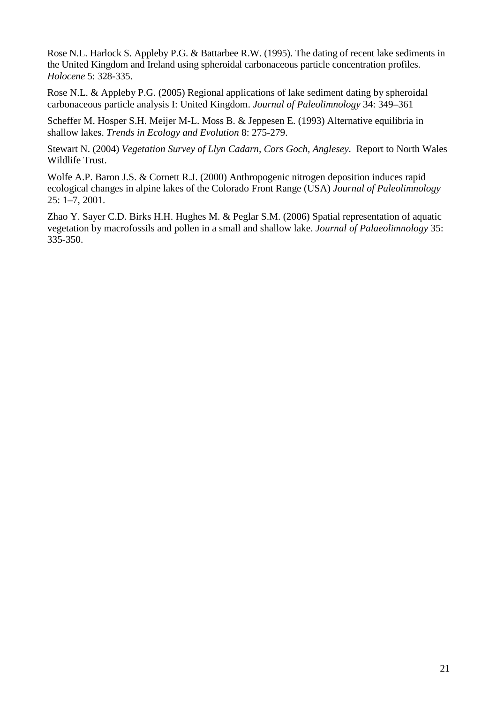Rose N.L. Harlock S. Appleby P.G. & Battarbee R.W. (1995). The dating of recent lake sediments in the United Kingdom and Ireland using spheroidal carbonaceous particle concentration profiles. *Holocene* 5: 328-335.

Rose N.L. & Appleby P.G. (2005) Regional applications of lake sediment dating by spheroidal carbonaceous particle analysis I: United Kingdom. *Journal of Paleolimnology* 34: 349–361

Scheffer M. Hosper S.H. Meijer M-L. Moss B. & Jeppesen E. (1993) Alternative equilibria in shallow lakes. *Trends in Ecology and Evolution* 8: 275-279.

Stewart N. (2004) *Vegetation Survey of Llyn Cadarn, Cors Goch, Anglesey*. Report to North Wales Wildlife Trust.

Wolfe A.P. Baron J.S. & Cornett R.J. (2000) Anthropogenic nitrogen deposition induces rapid ecological changes in alpine lakes of the Colorado Front Range (USA) *Journal of Paleolimnology* 25: 1–7, 2001.

Zhao Y. Sayer C.D. Birks H.H. Hughes M. & Peglar S.M. (2006) Spatial representation of aquatic vegetation by macrofossils and pollen in a small and shallow lake. *Journal of Palaeolimnology* 35: 335-350.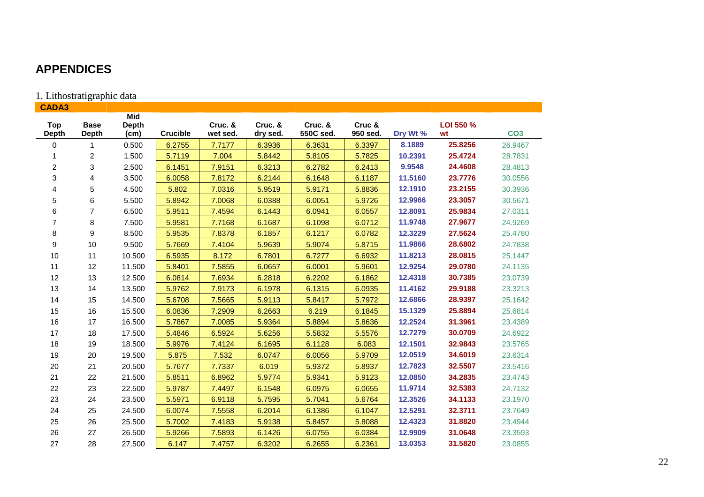## **APPENDICES**

## 1. Lithostratigraphic data

<span id="page-21-0"></span>

| <b>CADA3</b>        |                             |                                    |                 |                     |                     |                      |                    |          |                 |                 |
|---------------------|-----------------------------|------------------------------------|-----------------|---------------------|---------------------|----------------------|--------------------|----------|-----------------|-----------------|
| Top<br><b>Depth</b> | <b>Base</b><br><b>Depth</b> | <b>Mid</b><br><b>Depth</b><br>(cm) | <b>Crucible</b> | Cruc. &<br>wet sed. | Cruc. &<br>dry sed. | Cruc. &<br>550C sed. | Cruc &<br>950 sed. | Dry Wt % | LOI 550 %<br>wt | CO <sub>3</sub> |
| 0                   | 1                           | 0.500                              | 6.2755          | 7.7177              | 6.3936              | 6.3631               | 6.3397             | 8.1889   | 25.8256         | 26.9467         |
|                     | $\overline{c}$              | 1.500                              | 5.7119          | 7.004               | 5.8442              | 5.8105               | 5.7825             | 10.2391  | 25.4724         | 28.7831         |
| $\overline{c}$      | $\sqrt{3}$                  | 2.500                              | 6.1451          | 7.9151              | 6.3213              | 6.2782               | 6.2413             | 9.9548   | 24.4608         | 28.4813         |
| 3                   | 4                           | 3.500                              | 6.0058          | 7.8172              | 6.2144              | 6.1648               | 6.1187             | 11.5160  | 23.7776         | 30.0556         |
| 4                   | 5                           | 4.500                              | 5.802           | 7.0316              | 5.9519              | 5.9171               | 5.8836             | 12.1910  | 23.2155         | 30.3936         |
| 5                   | 6                           | 5.500                              | 5.8942          | 7.0068              | 6.0388              | 6.0051               | 5.9726             | 12.9966  | 23.3057         | 30.5671         |
| 6                   | $\overline{7}$              | 6.500                              | 5.9511          | 7.4594              | 6.1443              | 6.0941               | 6.0557             | 12.8091  | 25.9834         | 27.0311         |
| $\overline{7}$      | $\bf 8$                     | 7.500                              | 5.9581          | 7.7168              | 6.1687              | 6.1098               | 6.0712             | 11.9748  | 27.9677         | 24.9269         |
| 8                   | 9                           | 8.500                              | 5.9535          | 7.8378              | 6.1857              | 6.1217               | 6.0782             | 12.3229  | 27.5624         | 25.4780         |
| 9                   | 10                          | 9.500                              | 5.7669          | 7.4104              | 5.9639              | 5.9074               | 5.8715             | 11.9866  | 28.6802         | 24.7838         |
| 10                  | 11                          | 10.500                             | 6.5935          | 8.172               | 6.7801              | 6.7277               | 6.6932             | 11.8213  | 28.0815         | 25.1447         |
| 11                  | 12                          | 11.500                             | 5.8401          | 7.5855              | 6.0657              | 6.0001               | 5.9601             | 12.9254  | 29.0780         | 24.1135         |
| 12                  | 13                          | 12.500                             | 6.0814          | 7.6934              | 6.2818              | 6.2202               | 6.1862             | 12.4318  | 30.7385         | 23.0739         |
| 13                  | 14                          | 13.500                             | 5.9762          | 7.9173              | 6.1978              | 6.1315               | 6.0935             | 11.4162  | 29.9188         | 23.3213         |
| 14                  | 15                          | 14.500                             | 5.6708          | 7.5665              | 5.9113              | 5.8417               | 5.7972             | 12.6866  | 28.9397         | 25.1642         |
| 15                  | 16                          | 15.500                             | 6.0836          | 7.2909              | 6.2663              | 6.219                | 6.1845             | 15.1329  | 25.8894         | 25.6814         |
| 16                  | 17                          | 16.500                             | 5.7867          | 7.0085              | 5.9364              | 5.8894               | 5.8636             | 12.2524  | 31.3961         | 23.4389         |
| 17                  | 18                          | 17.500                             | 5.4846          | 6.5924              | 5.6256              | 5.5832               | 5.5576             | 12.7279  | 30.0709         | 24.6922         |
| 18                  | 19                          | 18.500                             | 5.9976          | 7.4124              | 6.1695              | 6.1128               | 6.083              | 12.1501  | 32.9843         | 23.5765         |
| 19                  | 20                          | 19.500                             | 5.875           | 7.532               | 6.0747              | 6.0056               | 5.9709             | 12.0519  | 34.6019         | 23.6314         |
| 20                  | 21                          | 20.500                             | 5.7677          | 7.7337              | 6.019               | 5.9372               | 5.8937             | 12.7823  | 32.5507         | 23.5416         |
| 21                  | 22                          | 21.500                             | 5.8511          | 6.8962              | 5.9774              | 5.9341               | 5.9123             | 12.0850  | 34.2835         | 23.4743         |
| 22                  | 23                          | 22.500                             | 5.9787          | 7.4497              | 6.1548              | 6.0975               | 6.0655             | 11.9714  | 32.5383         | 24.7132         |
| 23                  | 24                          | 23.500                             | 5.5971          | 6.9118              | 5.7595              | 5.7041               | 5.6764             | 12.3526  | 34.1133         | 23.1970         |
| 24                  | 25                          | 24.500                             | 6.0074          | 7.5558              | 6.2014              | 6.1386               | 6.1047             | 12.5291  | 32.3711         | 23.7649         |
| 25                  | 26                          | 25.500                             | 5.7002          | 7.4183              | 5.9138              | 5.8457               | 5.8088             | 12.4323  | 31.8820         | 23.4944         |
| 26                  | 27                          | 26.500                             | 5.9266          | 7.5893              | 6.1426              | 6.0755               | 6.0384             | 12.9909  | 31.0648         | 23.3593         |
| 27                  | 28                          | 27.500                             | 6.147           | 7.4757              | 6.3202              | 6.2655               | 6.2361             | 13.0353  | 31.5820         | 23.0855         |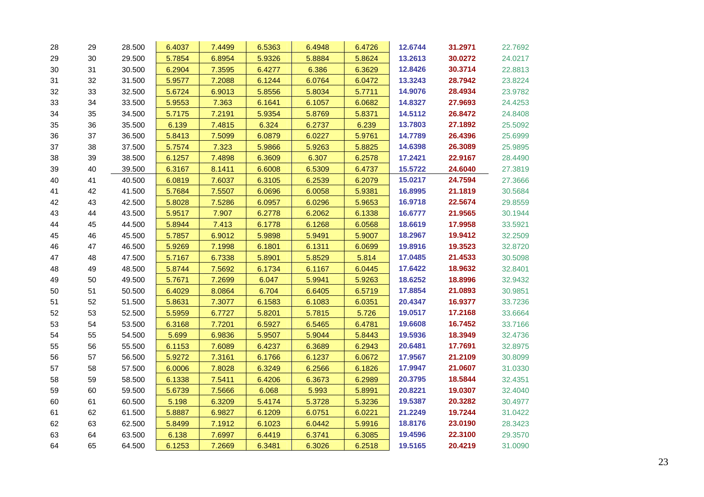| 28 | 29 | 28.500 | 6.4037 | 7.4499 | 6.5363 | 6.4948 | 6.4726 | 12.6744 | 31.2971 | 22.7692 |
|----|----|--------|--------|--------|--------|--------|--------|---------|---------|---------|
| 29 | 30 | 29.500 | 5.7854 | 6.8954 | 5.9326 | 5.8884 | 5.8624 | 13.2613 | 30.0272 | 24.0217 |
| 30 | 31 | 30.500 | 6.2904 | 7.3595 | 6.4277 | 6.386  | 6.3629 | 12.8426 | 30.3714 | 22.8813 |
| 31 | 32 | 31.500 | 5.9577 | 7.2088 | 6.1244 | 6.0764 | 6.0472 | 13.3243 | 28.7942 | 23.8224 |
| 32 | 33 | 32.500 | 5.6724 | 6.9013 | 5.8556 | 5.8034 | 5.7711 | 14.9076 | 28.4934 | 23.9782 |
| 33 | 34 | 33.500 | 5.9553 | 7.363  | 6.1641 | 6.1057 | 6.0682 | 14.8327 | 27.9693 | 24.4253 |
| 34 | 35 | 34.500 | 5.7175 | 7.2191 | 5.9354 | 5.8769 | 5.8371 | 14.5112 | 26.8472 | 24.8408 |
| 35 | 36 | 35.500 | 6.139  | 7.4815 | 6.324  | 6.2737 | 6.239  | 13.7803 | 27.1892 | 25.5092 |
| 36 | 37 | 36.500 | 5.8413 | 7.5099 | 6.0879 | 6.0227 | 5.9761 | 14.7789 | 26.4396 | 25.6999 |
| 37 | 38 | 37.500 | 5.7574 | 7.323  | 5.9866 | 5.9263 | 5.8825 | 14.6398 | 26.3089 | 25.9895 |
| 38 | 39 | 38.500 | 6.1257 | 7.4898 | 6.3609 | 6.307  | 6.2578 | 17.2421 | 22.9167 | 28.4490 |
| 39 | 40 | 39.500 | 6.3167 | 8.1411 | 6.6008 | 6.5309 | 6.4737 | 15.5722 | 24.6040 | 27.3819 |
| 40 | 41 | 40.500 | 6.0819 | 7.6037 | 6.3105 | 6.2539 | 6.2079 | 15.0217 | 24.7594 | 27.3666 |
| 41 | 42 | 41.500 | 5.7684 | 7.5507 | 6.0696 | 6.0058 | 5.9381 | 16.8995 | 21.1819 | 30.5684 |
| 42 | 43 | 42.500 | 5.8028 | 7.5286 | 6.0957 | 6.0296 | 5.9653 | 16.9718 | 22.5674 | 29.8559 |
| 43 | 44 | 43.500 | 5.9517 | 7.907  | 6.2778 | 6.2062 | 6.1338 | 16.6777 | 21.9565 | 30.1944 |
| 44 | 45 | 44.500 | 5.8944 | 7.413  | 6.1778 | 6.1268 | 6.0568 | 18.6619 | 17.9958 | 33.5921 |
| 45 | 46 | 45.500 | 5.7857 | 6.9012 | 5.9898 | 5.9491 | 5.9007 | 18.2967 | 19.9412 | 32.2509 |
| 46 | 47 | 46.500 | 5.9269 | 7.1998 | 6.1801 | 6.1311 | 6.0699 | 19.8916 | 19.3523 | 32.8720 |
| 47 | 48 | 47.500 | 5.7167 | 6.7338 | 5.8901 | 5.8529 | 5.814  | 17.0485 | 21.4533 | 30.5098 |
| 48 | 49 | 48.500 | 5.8744 | 7.5692 | 6.1734 | 6.1167 | 6.0445 | 17.6422 | 18.9632 | 32.8401 |
| 49 | 50 | 49.500 | 5.7671 | 7.2699 | 6.047  | 5.9941 | 5.9263 | 18.6252 | 18.8996 | 32.9432 |
| 50 | 51 | 50.500 | 6.4029 | 8.0864 | 6.704  | 6.6405 | 6.5719 | 17.8854 | 21.0893 | 30.9851 |
| 51 | 52 | 51.500 | 5.8631 | 7.3077 | 6.1583 | 6.1083 | 6.0351 | 20.4347 | 16.9377 | 33.7236 |
| 52 | 53 | 52.500 | 5.5959 | 6.7727 | 5.8201 | 5.7815 | 5.726  | 19.0517 | 17.2168 | 33.6664 |
| 53 | 54 | 53.500 | 6.3168 | 7.7201 | 6.5927 | 6.5465 | 6.4781 | 19.6608 | 16.7452 | 33.7166 |
| 54 | 55 | 54.500 | 5.699  | 6.9836 | 5.9507 | 5.9044 | 5.8443 | 19.5936 | 18.3949 | 32.4736 |
| 55 | 56 | 55.500 | 6.1153 | 7.6089 | 6.4237 | 6.3689 | 6.2943 | 20.6481 | 17.7691 | 32.8975 |
| 56 | 57 | 56.500 | 5.9272 | 7.3161 | 6.1766 | 6.1237 | 6.0672 | 17.9567 | 21.2109 | 30.8099 |
| 57 | 58 | 57.500 | 6.0006 | 7.8028 | 6.3249 | 6.2566 | 6.1826 | 17.9947 | 21.0607 | 31.0330 |
| 58 | 59 | 58.500 | 6.1338 | 7.5411 | 6.4206 | 6.3673 | 6.2989 | 20.3795 | 18.5844 | 32.4351 |
| 59 | 60 | 59.500 | 5.6739 | 7.5666 | 6.068  | 5.993  | 5.8991 | 20.8221 | 19.0307 | 32.4040 |
| 60 | 61 | 60.500 | 5.198  | 6.3209 | 5.4174 | 5.3728 | 5.3236 | 19.5387 | 20.3282 | 30.4977 |
| 61 | 62 | 61.500 | 5.8887 | 6.9827 | 6.1209 | 6.0751 | 6.0221 | 21.2249 | 19.7244 | 31.0422 |
| 62 | 63 | 62.500 | 5.8499 | 7.1912 | 6.1023 | 6.0442 | 5.9916 | 18.8176 | 23.0190 | 28.3423 |
| 63 | 64 | 63.500 | 6.138  | 7.6997 | 6.4419 | 6.3741 | 6.3085 | 19.4596 | 22.3100 | 29.3570 |
| 64 | 65 | 64.500 | 6.1253 | 7.2669 | 6.3481 | 6.3026 | 6.2518 | 19.5165 | 20.4219 | 31.0090 |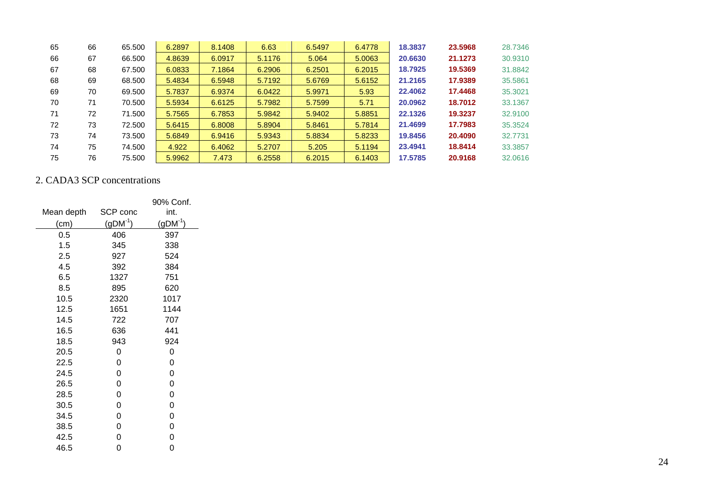| 65 | 66 | 65,500 | 6.2897 | 8.1408 | 6.63   | 6.5497 | 6.4778 | 18,3837 | 23.5968 | 28,7346 |
|----|----|--------|--------|--------|--------|--------|--------|---------|---------|---------|
| 66 | 67 | 66.500 | 4.8639 | 6.0917 | 5.1176 | 5.064  | 5.0063 | 20.6630 | 21.1273 | 30,9310 |
| 67 | 68 | 67.500 | 6.0833 | 7.1864 | 6.2906 | 6.2501 | 6.2015 | 18.7925 | 19.5369 | 31.8842 |
| 68 | 69 | 68.500 | 5.4834 | 6.5948 | 5.7192 | 5.6769 | 5.6152 | 21.2165 | 17.9389 | 35.5861 |
| 69 | 70 | 69.500 | 5.7837 | 6.9374 | 6.0422 | 5.9971 | 5.93   | 22.4062 | 17.4468 | 35,3021 |
| 70 | 71 | 70.500 | 5.5934 | 6.6125 | 5.7982 | 5.7599 | 5.71   | 20.0962 | 18.7012 | 33.1367 |
| 71 | 72 | 71.500 | 5.7565 | 6.7853 | 5.9842 | 5.9402 | 5.8851 | 22.1326 | 19,3237 | 32,9100 |
| 72 | 73 | 72.500 | 5.6415 | 6.8008 | 5.8904 | 5.8461 | 5.7814 | 21.4699 | 17.7983 | 35.3524 |
| 73 | 74 | 73.500 | 5.6849 | 6.9416 | 5.9343 | 5.8834 | 5.8233 | 19.8456 | 20.4090 | 32.7731 |
| 74 | 75 | 74.500 | 4.922  | 6.4062 | 5.2707 | 5.205  | 5.1194 | 23,4941 | 18.8414 | 33.3857 |
| 75 | 76 | 75.500 | 5.9962 | 7.473  | 6.2558 | 6.2015 | 6.1403 | 17.5785 | 20.9168 | 32,0616 |

### 2. CADA3 SCP concentrations

|            |              | 90% Conf. |
|------------|--------------|-----------|
| Mean depth | SCP conc     | int.      |
| (cm)       | $(gDM^{-1})$ | $(gDM^1)$ |
| 0.5        | 406          | 397       |
| 1.5        | 345          | 338       |
| 2.5        | 927          | 524       |
| 4.5        | 392          | 384       |
| 6.5        | 1327         | 751       |
| 8.5        | 895          | 620       |
| 10.5       | 2320         | 1017      |
| 12.5       | 1651         | 1144      |
| 14.5       | 722          | 707       |
| 16.5       | 636          | 441       |
| 18.5       | 943          | 924       |
| 20.5       | 0            | 0         |
| 22.5       | 0            | 0         |
| 24.5       | 0            | 0         |
| 26.5       | 0            | 0         |
| 28.5       | 0            | 0         |
| 30.5       | 0            | 0         |
| 34.5       | 0            | 0         |
| 38.5       | 0            | 0         |
| 42.5       | 0            | 0         |
| 46.5       | 0            | 0         |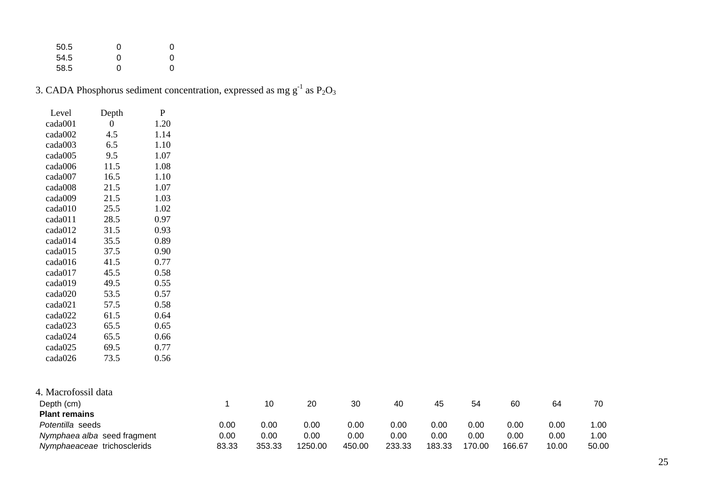| 50.5 | O | O |
|------|---|---|
| 54.5 | O | O |
| 58.5 | O | O |

|  |  | 3. CADA Phosphorus sediment concentration, expressed as mg $g^{-1}$ as $P_2O_3$ |  |  |
|--|--|---------------------------------------------------------------------------------|--|--|
|  |  |                                                                                 |  |  |

| Level   | Depth | P    |
|---------|-------|------|
| cada001 | 0     | 1.20 |
| cada002 | 4.5   | 1.14 |
| cada003 | 6.5   | 1.10 |
| cada005 | 9.5   | 1.07 |
| cada006 | 11.5  | 1.08 |
| cada007 | 16.5  | 1.10 |
| cada008 | 21.5  | 1.07 |
| cada009 | 21.5  | 1.03 |
| cada010 | 25.5  | 1.02 |
| cada011 | 28.5  | 0.97 |
| cada012 | 31.5  | 0.93 |
| cada014 | 35.5  | 0.89 |
| cada015 | 37.5  | 0.90 |
| cada016 | 41.5  | 0.77 |
| cada017 | 45.5  | 0.58 |
| cada019 | 49.5  | 0.55 |
| cada020 | 53.5  | 0.57 |
| cada021 | 57.5  | 0.58 |
| cada022 | 61.5  | 0.64 |
| cada023 | 65.5  | 0.65 |
| cada024 | 65.5  | 0.66 |
| cada025 | 69.5  | 0.77 |
| cada026 | 73.5  | 0.56 |

| 4. Macrofossil data         |       |        |         |        |        |        |        |        |       |       |
|-----------------------------|-------|--------|---------|--------|--------|--------|--------|--------|-------|-------|
| Depth (cm)                  |       | 10     | 20      | 30     | 40     | 45     | 54     | 60     | 64    | 70    |
| <b>Plant remains</b>        |       |        |         |        |        |        |        |        |       |       |
| Potentilla seeds            | 0.00  | 0.00   | 0.00    | 0.00   | 0.00   | 0.00   | 0.00   | 0.00   | 0.00  | 1.00  |
| Nymphaea alba seed fragment | 0.00  | 0.00   | 0.00    | 0.00   | 0.00   | 0.00   | 0.00   | 0.00   | 0.00  | 1.00  |
| Nymphaeaceae trichosclerids | 83.33 | 353.33 | 1250.00 | 450.00 | 233.33 | 183.33 | 170.00 | 166.67 | 10.00 | 50.00 |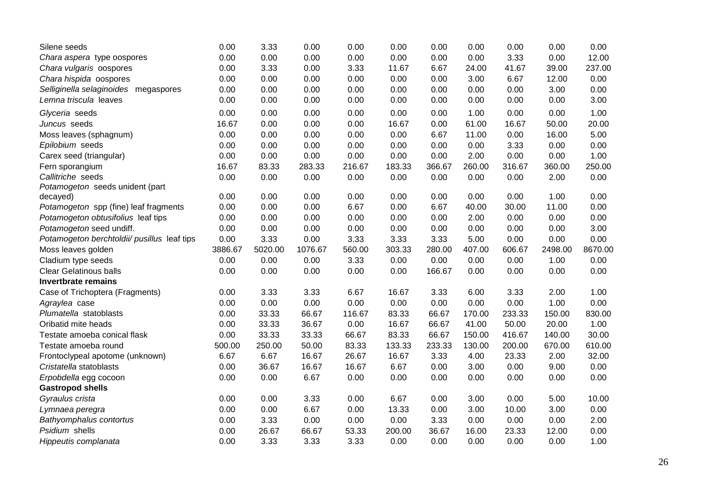| Silene seeds                                | 0.00    | 3.33    | 0.00    | 0.00   | 0.00   | 0.00   | 0.00   | 0.00   | 0.00    | 0.00    |
|---------------------------------------------|---------|---------|---------|--------|--------|--------|--------|--------|---------|---------|
| Chara aspera type oospores                  | 0.00    | 0.00    | 0.00    | 0.00   | 0.00   | 0.00   | 0.00   | 3.33   | 0.00    | 12.00   |
| Chara vulgaris oospores                     | 0.00    | 3.33    | 0.00    | 3.33   | 11.67  | 6.67   | 24.00  | 41.67  | 39.00   | 237.00  |
| Chara hispida oospores                      | 0.00    | 0.00    | 0.00    | 0.00   | 0.00   | 0.00   | 3.00   | 6.67   | 12.00   | 0.00    |
| Selliginella selaginoides megaspores        | 0.00    | 0.00    | 0.00    | 0.00   | 0.00   | 0.00   | 0.00   | 0.00   | 3.00    | 0.00    |
| Lemna triscula leaves                       | 0.00    | 0.00    | 0.00    | 0.00   | 0.00   | 0.00   | 0.00   | 0.00   | 0.00    | 3.00    |
| Glyceria seeds                              | 0.00    | 0.00    | 0.00    | 0.00   | 0.00   | 0.00   | 1.00   | 0.00   | 0.00    | 1.00    |
| Juncus seeds                                | 16.67   | 0.00    | 0.00    | 0.00   | 16.67  | 0.00   | 61.00  | 16.67  | 50.00   | 20.00   |
| Moss leaves (sphagnum)                      | 0.00    | 0.00    | 0.00    | 0.00   | 0.00   | 6.67   | 11.00  | 0.00   | 16.00   | 5.00    |
| Epilobium seeds                             | 0.00    | 0.00    | 0.00    | 0.00   | 0.00   | 0.00   | 0.00   | 3.33   | 0.00    | 0.00    |
| Carex seed (triangular)                     | 0.00    | 0.00    | 0.00    | 0.00   | 0.00   | 0.00   | 2.00   | 0.00   | 0.00    | 1.00    |
| Fern sporangium                             | 16.67   | 83.33   | 283.33  | 216.67 | 183.33 | 366.67 | 260.00 | 316.67 | 360.00  | 250.00  |
| Callitriche seeds                           | 0.00    | 0.00    | 0.00    | 0.00   | 0.00   | 0.00   | 0.00   | 0.00   | 2.00    | 0.00    |
| Potamogeton seeds unident (part             |         |         |         |        |        |        |        |        |         |         |
| decayed)                                    | 0.00    | 0.00    | 0.00    | 0.00   | 0.00   | 0.00   | 0.00   | 0.00   | 1.00    | 0.00    |
| Potamogeton spp (fine) leaf fragments       | 0.00    | 0.00    | 0.00    | 6.67   | 0.00   | 6.67   | 40.00  | 30.00  | 11.00   | 0.00    |
| Potamogeton obtusifolius leaf tips          | 0.00    | 0.00    | 0.00    | 0.00   | 0.00   | 0.00   | 2.00   | 0.00   | 0.00    | 0.00    |
| Potamogeton seed undiff.                    | 0.00    | 0.00    | 0.00    | 0.00   | 0.00   | 0.00   | 0.00   | 0.00   | 0.00    | 3.00    |
| Potamogeton berchtoldii/ pusillus leaf tips | 0.00    | 3.33    | 0.00    | 3.33   | 3.33   | 3.33   | 5.00   | 0.00   | 0.00    | 0.00    |
| Moss leaves golden                          | 3886.67 | 5020.00 | 1076.67 | 560.00 | 303.33 | 280.00 | 407.00 | 606.67 | 2498.00 | 8670.00 |
| Cladium type seeds                          | 0.00    | 0.00    | 0.00    | 3.33   | 0.00   | 0.00   | 0.00   | 0.00   | 1.00    | 0.00    |
| <b>Clear Gelatinous balls</b>               | 0.00    | 0.00    | 0.00    | 0.00   | 0.00   | 166.67 | 0.00   | 0.00   | 0.00    | 0.00    |
| <b>Invertbrate remains</b>                  |         |         |         |        |        |        |        |        |         |         |
| Case of Trichoptera (Fragments)             | 0.00    | 3.33    | 3.33    | 6.67   | 16.67  | 3.33   | 6.00   | 3.33   | 2.00    | 1.00    |
| Agraylea case                               | 0.00    | 0.00    | 0.00    | 0.00   | 0.00   | 0.00   | 0.00   | 0.00   | 1.00    | 0.00    |
| Plumatella statoblasts                      | 0.00    | 33.33   | 66.67   | 116.67 | 83.33  | 66.67  | 170.00 | 233.33 | 150.00  | 830.00  |
| Oribatid mite heads                         | 0.00    | 33.33   | 36.67   | 0.00   | 16.67  | 66.67  | 41.00  | 50.00  | 20.00   | 1.00    |
| Testate amoeba conical flask                | 0.00    | 33.33   | 33.33   | 66.67  | 83.33  | 66.67  | 150.00 | 416.67 | 140.00  | 30.00   |
| Testate amoeba round                        | 500.00  | 250.00  | 50.00   | 83.33  | 133.33 | 233.33 | 130.00 | 200.00 | 670.00  | 610.00  |
| Frontoclypeal apotome (unknown)             | 6.67    | 6.67    | 16.67   | 26.67  | 16.67  | 3.33   | 4.00   | 23.33  | 2.00    | 32.00   |
| Cristatella statoblasts                     | 0.00    | 36.67   | 16.67   | 16.67  | 6.67   | 0.00   | 3.00   | 0.00   | 9.00    | 0.00    |
| Erpobdella egg cocoon                       | 0.00    | 0.00    | 6.67    | 0.00   | 0.00   | 0.00   | 0.00   | 0.00   | 0.00    | 0.00    |
| <b>Gastropod shells</b>                     |         |         |         |        |        |        |        |        |         |         |
| Gyraulus crista                             | 0.00    | 0.00    | 3.33    | 0.00   | 6.67   | 0.00   | 3.00   | 0.00   | 5.00    | 10.00   |
| Lymnaea peregra                             | 0.00    | 0.00    | 6.67    | 0.00   | 13.33  | 0.00   | 3.00   | 10.00  | 3.00    | 0.00    |
| Bathyomphalus contortus                     | 0.00    | 3.33    | 0.00    | 0.00   | 0.00   | 3.33   | 0.00   | 0.00   | 0.00    | 2.00    |
| Psidium shells                              | 0.00    | 26.67   | 66.67   | 53.33  | 200.00 | 36.67  | 16.00  | 23.33  | 12.00   | 0.00    |
| Hippeutis complanata                        | 0.00    | 3.33    | 3.33    | 3.33   | 0.00   | 0.00   | 0.00   | 0.00   | 0.00    | 1.00    |
|                                             |         |         |         |        |        |        |        |        |         |         |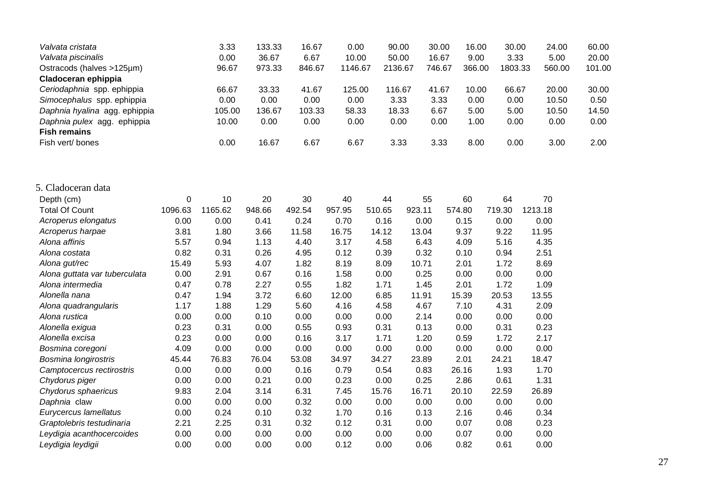| Valvata cristata              |         | 3.33    | 133.33 | 16.67  | 0.00    |        | 90.00   | 30.00  | 16.00  | 30.00<br>24.00    | 60.00  |
|-------------------------------|---------|---------|--------|--------|---------|--------|---------|--------|--------|-------------------|--------|
| Valvata piscinalis            |         | 0.00    | 36.67  | 6.67   | 10.00   |        | 50.00   | 16.67  | 9.00   | 3.33<br>5.00      | 20.00  |
| Ostracods (halves >125µm)     |         | 96.67   | 973.33 | 846.67 | 1146.67 |        | 2136.67 | 746.67 | 366.00 | 1803.33<br>560.00 | 101.00 |
| Cladoceran ephippia           |         |         |        |        |         |        |         |        |        |                   |        |
| Ceriodaphnia spp. ephippia    |         | 66.67   | 33.33  | 41.67  | 125.00  |        | 116.67  | 41.67  | 10.00  | 66.67<br>20.00    | 30.00  |
| Simocephalus spp. ephippia    |         | 0.00    | 0.00   | 0.00   | 0.00    |        | 3.33    | 3.33   | 0.00   | 0.00<br>10.50     | 0.50   |
| Daphnia hyalina agg. ephippia |         | 105.00  | 136.67 | 103.33 | 58.33   |        | 18.33   | 6.67   | 5.00   | 10.50<br>5.00     | 14.50  |
| Daphnia pulex agg. ephippia   |         | 10.00   | 0.00   | 0.00   | 0.00    |        | 0.00    | 0.00   | 1.00   | 0.00<br>0.00      | 0.00   |
| <b>Fish remains</b>           |         |         |        |        |         |        |         |        |        |                   |        |
| Fish vert/ bones              |         | 0.00    | 16.67  | 6.67   | 6.67    |        | 3.33    | 3.33   | 8.00   | 0.00<br>3.00      | 2.00   |
| 5. Cladoceran data            |         |         |        |        |         |        |         |        |        |                   |        |
| Depth (cm)                    | 0       | 10      | 20     | 30     | 40      | 44     | 55      | 60     | 64     | 70                |        |
| <b>Total Of Count</b>         | 1096.63 | 1165.62 | 948.66 | 492.54 | 957.95  | 510.65 | 923.11  | 574.80 | 719.30 | 1213.18           |        |
| Acroperus elongatus           | 0.00    | 0.00    | 0.41   | 0.24   | 0.70    | 0.16   | 0.00    | 0.15   | 0.00   | 0.00              |        |
| Acroperus harpae              | 3.81    | 1.80    | 3.66   | 11.58  | 16.75   | 14.12  | 13.04   | 9.37   | 9.22   | 11.95             |        |
| Alona affinis                 | 5.57    | 0.94    | 1.13   | 4.40   | 3.17    | 4.58   | 6.43    | 4.09   | 5.16   | 4.35              |        |
| Alona costata                 | 0.82    | 0.31    | 0.26   | 4.95   | 0.12    | 0.39   | 0.32    | 0.10   | 0.94   | 2.51              |        |
| Alona gut/rec                 | 15.49   | 5.93    | 4.07   | 1.82   | 8.19    | 8.09   | 10.71   | 2.01   | 1.72   | 8.69              |        |
| Alona guttata var tuberculata | 0.00    | 2.91    | 0.67   | 0.16   | 1.58    | 0.00   | 0.25    | 0.00   | 0.00   | 0.00              |        |
| Alona intermedia              | 0.47    | 0.78    | 2.27   | 0.55   | 1.82    | 1.71   | 1.45    | 2.01   | 1.72   | 1.09              |        |
| Alonella nana                 | 0.47    | 1.94    | 3.72   | 6.60   | 12.00   | 6.85   | 11.91   | 15.39  | 20.53  | 13.55             |        |
| Alona quadrangularis          | 1.17    | 1.88    | 1.29   | 5.60   | 4.16    | 4.58   | 4.67    | 7.10   | 4.31   | 2.09              |        |
| Alona rustica                 | 0.00    | 0.00    | 0.10   | 0.00   | 0.00    | 0.00   | 2.14    | 0.00   | 0.00   | 0.00              |        |
| Alonella exigua               | 0.23    | 0.31    | 0.00   | 0.55   | 0.93    | 0.31   | 0.13    | 0.00   | 0.31   | 0.23              |        |
| Alonella excisa               | 0.23    | 0.00    | 0.00   | 0.16   | 3.17    | 1.71   | 1.20    | 0.59   | 1.72   | 2.17              |        |
| Bosmina coregoni              | 4.09    | 0.00    | 0.00   | 0.00   | 0.00    | 0.00   | 0.00    | 0.00   | 0.00   | 0.00              |        |
| Bosmina longirostris          | 45.44   | 76.83   | 76.04  | 53.08  | 34.97   | 34.27  | 23.89   | 2.01   | 24.21  | 18.47             |        |
| Camptocercus rectirostris     | 0.00    | 0.00    | 0.00   | 0.16   | 0.79    | 0.54   | 0.83    | 26.16  | 1.93   | 1.70              |        |
| Chydorus piger                | 0.00    | 0.00    | 0.21   | 0.00   | 0.23    | 0.00   | 0.25    | 2.86   | 0.61   | 1.31              |        |
| Chydorus sphaericus           | 9.83    | 2.04    | 3.14   | 6.31   | 7.45    | 15.76  | 16.71   | 20.10  | 22.59  | 26.89             |        |
| Daphnia claw                  | 0.00    | 0.00    | 0.00   | 0.32   | 0.00    | 0.00   | 0.00    | 0.00   | 0.00   | 0.00              |        |
| Eurycercus lamellatus         | 0.00    | 0.24    | 0.10   | 0.32   | 1.70    | 0.16   | 0.13    | 2.16   | 0.46   | 0.34              |        |
| Graptolebris testudinaria     | 2.21    | 2.25    | 0.31   | 0.32   | 0.12    | 0.31   | 0.00    | 0.07   | 0.08   | 0.23              |        |
| Leydigia acanthocercoides     | 0.00    | 0.00    | 0.00   | 0.00   | 0.00    | 0.00   | 0.00    | 0.07   | 0.00   | 0.00              |        |
| Leydigia leydigii             | 0.00    | 0.00    | 0.00   | 0.00   | 0.12    | 0.00   | 0.06    | 0.82   | 0.61   | 0.00              |        |